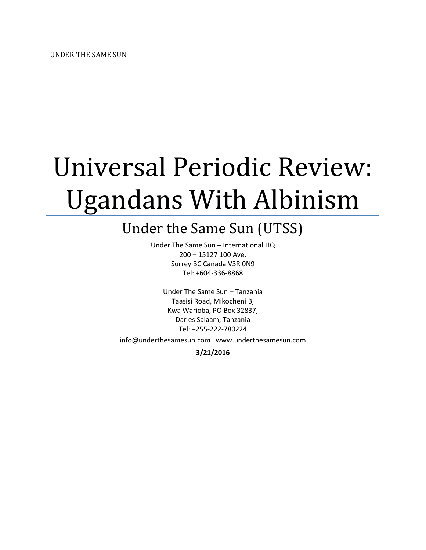# Universal Periodic Review: Ugandans With Albinism

## Under the Same Sun (UTSS)

Under The Same Sun – International HQ 200 – 15127 100 Ave. Surrey BC Canada V3R 0N9 Tel: +604-336-8868

Under The Same Sun – Tanzania Taasisi Road, Mikocheni B, Kwa Warioba, PO Box 32837, Dar es Salaam, Tanzania Tel: +255-222-780224

info@underthesamesun.com www.underthesamesun.com

**3/21/2016**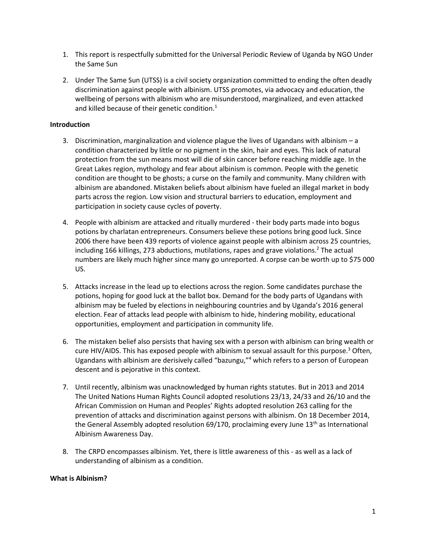- 1. This report is respectfully submitted for the Universal Periodic Review of Uganda by NGO Under the Same Sun
- 2. Under The Same Sun (UTSS) is a civil society organization committed to ending the often deadly discrimination against people with albinism. UTSS promotes, via advocacy and education, the wellbeing of persons with albinism who are misunderstood, marginalized, and even attacked and killed because of their genetic condition.<sup>1</sup>

#### **Introduction**

- 3. Discrimination, marginalization and violence plague the lives of Ugandans with albinism a condition characterized by little or no pigment in the skin, hair and eyes. This lack of natural protection from the sun means most will die of skin cancer before reaching middle age. In the Great Lakes region, mythology and fear about albinism is common. People with the genetic condition are thought to be ghosts; a curse on the family and community. Many children with albinism are abandoned. Mistaken beliefs about albinism have fueled an illegal market in body parts across the region. Low vision and structural barriers to education, employment and participation in society cause cycles of poverty.
- 4. People with albinism are attacked and ritually murdered their body parts made into bogus potions by charlatan entrepreneurs. Consumers believe these potions bring good luck. Since 2006 there have been 439 reports of violence against people with albinism across 25 countries, including 166 killings, 273 abductions, mutilations, rapes and grave violations.<sup>2</sup> The actual numbers are likely much higher since many go unreported. A corpse can be worth up to \$75 000 US.
- 5. Attacks increase in the lead up to elections across the region. Some candidates purchase the potions, hoping for good luck at the ballot box. Demand for the body parts of Ugandans with albinism may be fueled by elections in neighbouring countries and by Uganda's 2016 general election. Fear of attacks lead people with albinism to hide, hindering mobility, educational opportunities, employment and participation in community life.
- 6. The mistaken belief also persists that having sex with a person with albinism can bring wealth or cure HIV/AIDS. This has exposed people with albinism to sexual assault for this purpose.<sup>3</sup> Often, Ugandans with albinism are derisively called "bazungu,"<sup>4</sup> which refers to a person of European descent and is pejorative in this context.
- 7. Until recently, albinism was unacknowledged by human rights statutes. But in 2013 and 2014 The United Nations Human Rights Council adopted resolutions 23/13, 24/33 and 26/10 and the African Commission on Human and Peoples' Rights adopted resolution 263 calling for the prevention of attacks and discrimination against persons with albinism. On 18 December 2014, the General Assembly adopted resolution 69/170, proclaiming every June 13<sup>th</sup> as International Albinism Awareness Day.
- 8. The CRPD encompasses albinism. Yet, there is little awareness of this as well as a lack of understanding of albinism as a condition.

#### **What is Albinism?**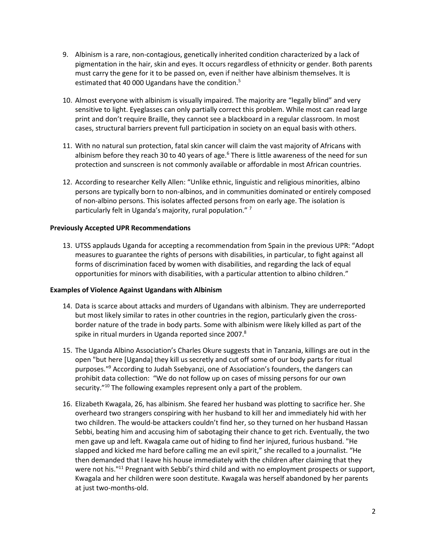- 9. Albinism is a rare, non-contagious, genetically inherited condition characterized by a lack of pigmentation in the hair, skin and eyes. It occurs regardless of ethnicity or gender. Both parents must carry the gene for it to be passed on, even if neither have albinism themselves. It is estimated that 40 000 Ugandans have the condition.<sup>5</sup>
- 10. Almost everyone with albinism is visually impaired. The majority are "legally blind" and very sensitive to light. Eyeglasses can only partially correct this problem. While most can read large print and don't require Braille, they cannot see a blackboard in a regular classroom. In most cases, structural barriers prevent full participation in society on an equal basis with others.
- 11. With no natural sun protection, fatal skin cancer will claim the vast majority of Africans with albinism before they reach 30 to 40 years of age.<sup>6</sup> There is little awareness of the need for sun protection and sunscreen is not commonly available or affordable in most African countries.
- 12. According to researcher Kelly Allen: "Unlike ethnic, linguistic and religious minorities, albino persons are typically born to non-albinos, and in communities dominated or entirely composed of non-albino persons. This isolates affected persons from on early age. The isolation is particularly felt in Uganda's majority, rural population."<sup>7</sup>

### **Previously Accepted UPR Recommendations**

13. UTSS applauds Uganda for accepting a recommendation from Spain in the previous UPR: "Adopt measures to guarantee the rights of persons with disabilities, in particular, to fight against all forms of discrimination faced by women with disabilities, and regarding the lack of equal opportunities for minors with disabilities, with a particular attention to albino children."

#### **Examples of Violence Against Ugandans with Albinism**

- 14. Data is scarce about attacks and murders of Ugandans with albinism. They are underreported but most likely similar to rates in other countries in the region, particularly given the crossborder nature of the trade in body parts. Some with albinism were likely killed as part of the spike in ritual murders in Uganda reported since 2007. $8$
- 15. The Uganda Albino Association's Charles Okure suggests that in Tanzania, killings are out in the open "but here [Uganda] they kill us secretly and cut off some of our body parts for ritual purposes."<sup>9</sup> According to Judah Ssebyanzi, one of Association's founders, the dangers can prohibit data collection: "We do not follow up on cases of missing persons for our own security."<sup>10</sup> The following examples represent only a part of the problem.
- 16. Elizabeth Kwagala, 26, has albinism. She feared her husband was plotting to sacrifice her. She overheard two strangers conspiring with her husband to kill her and immediately hid with her two children. The would-be attackers couldn't find her, so they turned on her husband Hassan Sebbi, beating him and accusing him of sabotaging their chance to get rich. Eventually, the two men gave up and left. Kwagala came out of hiding to find her injured, furious husband. "He slapped and kicked me hard before calling me an evil spirit," she recalled to a journalist. "He then demanded that I leave his house immediately with the children after claiming that they were not his."<sup>11</sup> Pregnant with Sebbi's third child and with no employment prospects or support, Kwagala and her children were soon destitute. Kwagala was herself abandoned by her parents at just two-months-old.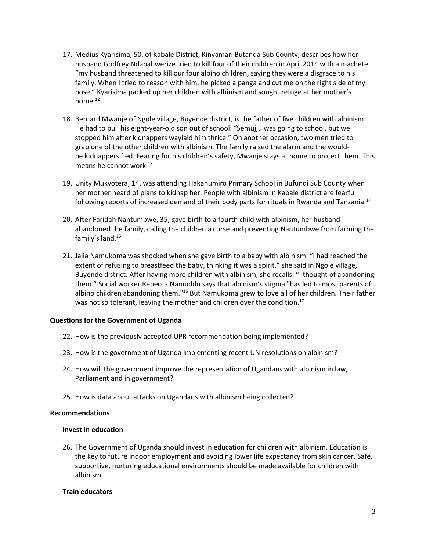- 17. Medius Kyarisima, 50, of Kabale District, Kinyamari Butanda Sub County, describes how her husband Godfrey Ndabahwerize tried to kill four of their children in April 2014 with a machete: "my husband threatened to kill our four albino children, saying they were a disgrace to his family. When I tried to reason with him, he picked a panga and cut me on the right side of my nose." Kyarisima packed up her children with albinism and sought refuge at her mother's home.<sup>12</sup>
- 18. Bernard Mwanje of Ngole village, Buyende district, is the father of five children with albinism. He had to pull his eight-year-old son out of school: "Semujju was going to school, but we stopped him after kidnappers waylaid him thrice." On another occasion, two men tried to grab one of the other children with albinism. The family raised the alarm and the wouldbe kidnappers fled. Fearing for his children's safety, Mwanje stays at home to protect them. This means he cannot work.<sup>13</sup>
- 19. Unity Mukyotera, 14, was attending Hakahumiro Primary School in Bufundi Sub County when her mother heard of plans to kidnap her. People with albinism in Kabale district are fearful following reports of increased demand of their body parts for rituals in Rwanda and Tanzania.<sup>14</sup>
- 20. After Faridah Nantumbwe, 35, gave birth to a fourth child with albinism, her husband abandoned the family, calling the children a curse and preventing Nantumbwe from farming the family's land.<sup>15</sup>
- 21. Jalia Namukoma was shocked when she gave birth to a baby with albinism: "I had reached the extent of refusing to breastfeed the baby, thinking it was a spirit," she said in Ngole village, Buyende district. After having more children with albinism, she recalls: "I thought of abandoning them." Social worker Rebecca Namuddu says that albinism's stigma "has led to most parents of albino children abandoning them."<sup>16</sup> But Namukoma grew to love all of her children. Their father was not so tolerant, leaving the mother and children over the condition.<sup>17</sup>

#### **Questions for the Government of Uganda**

- 22. How is the previously accepted UPR recommendation being implemented?
- 23. How is the government of Uganda implementing recent UN resolutions on albinism?
- 24. How will the government improve the representation of Ugandans with albinism in law, Parliament and in government?
- 25. How is data about attacks on Ugandans with albinism being collected?

#### **Recommendations**

#### **Invest in education**

26. The Government of Uganda should invest in education for children with albinism. Education is the key to future indoor employment and avoiding lower life expectancy from skin cancer. Safe, supportive, nurturing educational environments should be made available for children with albinism.

#### **Train educators**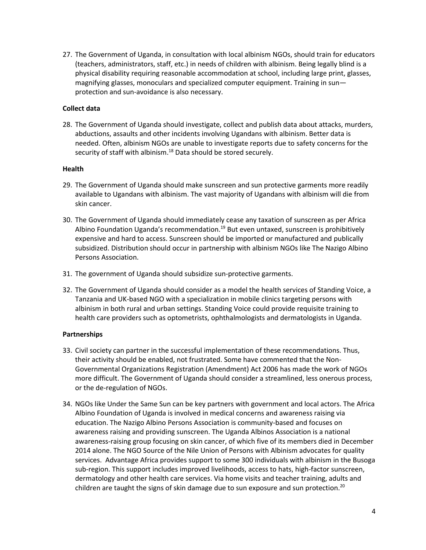27. The Government of Uganda, in consultation with local albinism NGOs, should train for educators (teachers, administrators, staff, etc.) in needs of children with albinism. Being legally blind is a physical disability requiring reasonable accommodation at school, including large print, glasses, magnifying glasses, monoculars and specialized computer equipment. Training in sun protection and sun-avoidance is also necessary.

### **Collect data**

28. The Government of Uganda should investigate, collect and publish data about attacks, murders, abductions, assaults and other incidents involving Ugandans with albinism. Better data is needed. Often, albinism NGOs are unable to investigate reports due to safety concerns for the security of staff with albinism. $18$  Data should be stored securely.

#### **Health**

- 29. The Government of Uganda should make sunscreen and sun protective garments more readily available to Ugandans with albinism. The vast majority of Ugandans with albinism will die from skin cancer.
- 30. The Government of Uganda should immediately cease any taxation of sunscreen as per Africa Albino Foundation Uganda's recommendation.<sup>19</sup> But even untaxed, sunscreen is prohibitively expensive and hard to access. Sunscreen should be imported or manufactured and publically subsidized. Distribution should occur in partnership with albinism NGOs like The Nazigo Albino Persons Association.
- 31. The government of Uganda should subsidize sun-protective garments.
- 32. The Government of Uganda should consider as a model the health services of Standing Voice, a Tanzania and UK-based NGO with a specialization in mobile clinics targeting persons with albinism in both rural and urban settings. Standing Voice could provide requisite training to health care providers such as optometrists, ophthalmologists and dermatologists in Uganda.

#### **Partnerships**

- 33. Civil society can partner in the successful implementation of these recommendations. Thus, their activity should be enabled, not frustrated. Some have commented that the Non-Governmental Organizations Registration (Amendment) Act 2006 has made the work of NGOs more difficult. The Government of Uganda should consider a streamlined, less onerous process, or the de-regulation of NGOs.
- 34. NGOs like Under the Same Sun can be key partners with government and local actors. The Africa Albino Foundation of Uganda is involved in medical concerns and awareness raising via education. The Nazigo Albino Persons Association is community-based and focuses on awareness raising and providing sunscreen. The Uganda Albinos Association is a national awareness-raising group focusing on skin cancer, of which five of its members died in December 2014 alone. The NGO Source of the Nile Union of Persons with Albinism advocates for quality services. Advantage Africa provides support to some 300 individuals with albinism in the Busoga sub-region. This support includes improved livelihoods, access to hats, high-factor sunscreen, dermatology and other health care services. Via home visits and teacher training, adults and children are taught the signs of skin damage due to sun exposure and sun protection.<sup>20</sup>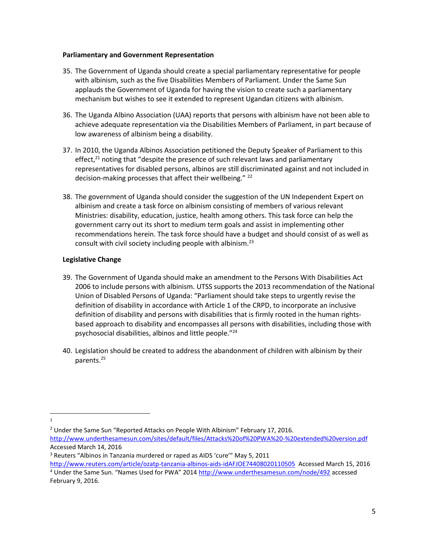#### **Parliamentary and Government Representation**

- 35. The Government of Uganda should create a special parliamentary representative for people with albinism, such as the five Disabilities Members of Parliament. Under the Same Sun applauds the Government of Uganda for having the vision to create such a parliamentary mechanism but wishes to see it extended to represent Ugandan citizens with albinism.
- 36. The Uganda Albino Association (UAA) reports that persons with albinism have not been able to achieve adequate representation via the Disabilities Members of Parliament, in part because of low awareness of albinism being a disability.
- 37. In 2010, the Uganda Albinos Association petitioned the Deputy Speaker of Parliament to this effect, $21$  noting that "despite the presence of such relevant laws and parliamentary representatives for disabled persons, albinos are still discriminated against and not included in decision-making processes that affect their wellbeing." 22
- 38. The government of Uganda should consider the suggestion of the UN Independent Expert on albinism and create a task force on albinism consisting of members of various relevant Ministries: disability, education, justice, health among others. This task force can help the government carry out its short to medium term goals and assist in implementing other recommendations herein. The task force should have a budget and should consist of as well as consult with civil society including people with albinism. $^{23}$

### **Legislative Change**

- 39. The Government of Uganda should make an amendment to the Persons With Disabilities Act 2006 to include persons with albinism. UTSS supports the 2013 recommendation of the National Union of Disabled Persons of Uganda: "Parliament should take steps to urgently revise the definition of disability in accordance with Article 1 of the CRPD, to incorporate an inclusive definition of disability and persons with disabilities that is firmly rooted in the human rightsbased approach to disability and encompasses all persons with disabilities, including those with psychosocial disabilities, albinos and little people."<sup>24</sup>
- 40. Legislation should be created to address the abandonment of children with albinism by their parents.<sup>25</sup>

 $\overline{\phantom{a}}$ 1

<sup>2</sup> Under the Same Sun "Reported Attacks on People With Albinism" February 17, 2016. <http://www.underthesamesun.com/sites/default/files/Attacks%20of%20PWA%20-%20extended%20version.pdf> Accessed March 14, 2016

<sup>3</sup> Reuters "Albinos in Tanzania murdered or raped as AIDS 'cure'" May 5, 2011 <http://www.reuters.com/article/ozatp-tanzania-albinos-aids-idAFJOE74408020110505>Accessed March 15, 2016

<sup>4</sup> Under the Same Sun. "Names Used for PWA" 2014 <http://www.underthesamesun.com/node/492> accessed February 9, 2016.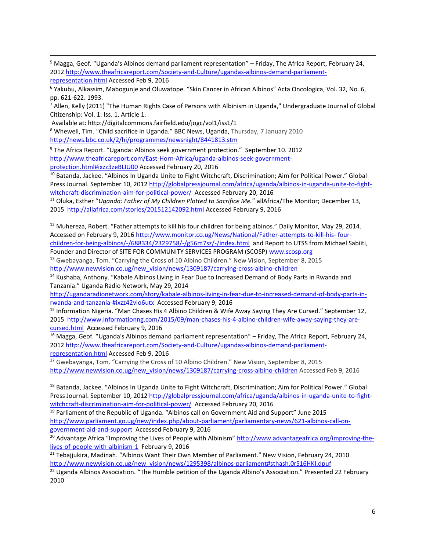<sup>5</sup> Magga, Geof. "Uganda's Albinos demand parliament representation" – Friday, The Africa Report, February 24, 201[2 http://www.theafricareport.com/Society-and-Culture/ugandas-albinos-demand-parliament-](http://www.theafricareport.com/Society-and-Culture/ugandas-albinos-demand-parliament-representation.html)

```
representation.html Accessed Feb 9, 2016
```
 $\overline{\phantom{a}}$ 

<sup>6</sup> Yakubu, Alkassim, Mabogunje and Oluwatope. "Skin Cancer in African Albinos" Acta Oncologica, Vol. 32, No. 6, pp. 621-622. 1993.

<sup>7</sup> Allen, Kelly (2011) "The Human Rights Case of Persons with Albinism in Uganda," Undergraduate Journal of Global Citizenship: Vol. 1: Iss. 1, Article 1.

Available at: http://digitalcommons.fairfield.edu/jogc/vol1/iss1/1

<sup>8</sup> Whewell, Tim. "Child sacrifice in Uganda." BBC News, Uganda, Thursday, 7 January 2010 <http://news.bbc.co.uk/2/hi/programmes/newsnight/8441813.stm>

<sup>9</sup> The Africa Report. "Uganda: Albinos seek government protection." September 10. 2012 [http://www.theafricareport.com/East-Horn-Africa/uganda-albinos-seek-government](http://www.theafricareport.com/East-Horn-Africa/uganda-albinos-seek-government-protection.html#ixzz3zeBLIU00)[protection.html#ixzz3zeBLIU00](http://www.theafricareport.com/East-Horn-Africa/uganda-albinos-seek-government-protection.html#ixzz3zeBLIU00) Accessed February 20, 2016

<sup>10</sup> Batanda, Jackee. "Albinos In Uganda Unite to Fight Witchcraft, Discrimination; Aim for Political Power." Global Press Journal. September 10, 201[2 http://globalpressjournal.com/africa/uganda/albinos-in-uganda-unite-to-fight](http://globalpressjournal.com/africa/uganda/albinos-in-uganda-unite-to-fight-witchcraft-discrimination-aim-for-political-power/)[witchcraft-discrimination-aim-for-political-power/](http://globalpressjournal.com/africa/uganda/albinos-in-uganda-unite-to-fight-witchcraft-discrimination-aim-for-political-power/) Accessed February 20, 2016

<sup>11</sup> Oluka, Esther "*Uganda: Father of My Children Plotted to Sacrifice Me.*" allAfrica/The Monitor; December 13, 2015 <http://allafrica.com/stories/201512142092.html> Accessed February 9, 2016

<sup>12</sup> Muhereza, Robert. "Father attempts to kill his four children for being albinos." Daily Monitor, May 29, 2014. Accessed on February 9, 2016 [http://www.monitor.co.ug/News/National/Father-attempts-to-kill-his-](http://www.monitor.co.ug/News/National/Father-attempts-to-kill-his-%20four-children-for-being-albinos/-/688334/2329758/-/g56m7sz/-/index.html) four[children-for-being-albinos/-/688334/2329758/-/g56m7sz/-/index.html](http://www.monitor.co.ug/News/National/Father-attempts-to-kill-his-%20four-children-for-being-albinos/-/688334/2329758/-/g56m7sz/-/index.html) and Report to UTSS from Michael Sabiiti,

Founder and Director of SITE FOR COMMUNITY SERVICES PROGRAM (SCOSP) [www.scosp.org](http://www.scosp.org/) 

<sup>13</sup> Gwebayanga, Tom. "Carrying the Cross of 10 Albino Children." New Vision, September 8, 2015 [http://www.newvision.co.ug/new\\_vision/news/1309187/carrying-cross-albino-children](http://www.newvision.co.ug/new_vision/news/1309187/carrying-cross-albino-children)

<sup>14</sup> Kushaba, Anthony. "Kabale Albinos Living in Fear Due to Increased Demand of Body Parts in Rwanda and Tanzania." Uganda Radio Network, May 29, 2014

[http://ugandaradionetwork.com/story/kabale-albinos-living-in-fear-due-to-increased-demand-of-body-parts-in](http://ugandaradionetwork.com/story/kabale-albinos-living-in-fear-due-to-increased-demand-of-body-parts-in-rwanda-and-tanzania-#ixzz42vIo6utx)[rwanda-and-tanzania-#ixzz42vIo6utx](http://ugandaradionetwork.com/story/kabale-albinos-living-in-fear-due-to-increased-demand-of-body-parts-in-rwanda-and-tanzania-#ixzz42vIo6utx) Accessed February 9, 2016

<sup>15</sup> Information Nigeria. "Man Chases His 4 Albino Children & Wife Away Saying They Are Cursed." September 12, 2015 [http://www.informationng.com/2015/09/man-chases-his-4-albino-children-wife-away-saying-they-are](http://www.informationng.com/2015/09/man-chases-his-4-albino-children-wife-away-saying-they-are-cursed.html)[cursed.html](http://www.informationng.com/2015/09/man-chases-his-4-albino-children-wife-away-saying-they-are-cursed.html) Accessed February 9, 2016

<sup>16</sup> Magga, Geof. "Uganda's Albinos demand parliament representation" – Friday, The Africa Report, February 24, 201[2 http://www.theafricareport.com/Society-and-Culture/ugandas-albinos-demand-parliament](http://www.theafricareport.com/Society-and-Culture/ugandas-albinos-demand-parliament-representation.html)[representation.html](http://www.theafricareport.com/Society-and-Culture/ugandas-albinos-demand-parliament-representation.html) Accessed Feb 9, 2016

<sup>17</sup> Gwebayanga, Tom. "Carrying the Cross of 10 Albino Children." New Vision, September 8, 2015 [http://www.newvision.co.ug/new\\_vision/news/1309187/carrying-cross-albino-children](http://www.newvision.co.ug/new_vision/news/1309187/carrying-cross-albino-children) Accessed Feb 9, 2016

<sup>18</sup> Batanda, Jackee. "Albinos In Uganda Unite to Fight Witchcraft, Discrimination; Aim for Political Power." Global Press Journal. September 10, 201[2 http://globalpressjournal.com/africa/uganda/albinos-in-uganda-unite-to-fight](http://globalpressjournal.com/africa/uganda/albinos-in-uganda-unite-to-fight-witchcraft-discrimination-aim-for-political-power/)[witchcraft-discrimination-aim-for-political-power/](http://globalpressjournal.com/africa/uganda/albinos-in-uganda-unite-to-fight-witchcraft-discrimination-aim-for-political-power/) Accessed February 20, 2016

<sup>19</sup> Parliament of the Republic of Uganda. "Albinos call on Government Aid and Support" June 2015 [http://www.parliament.go.ug/new/index.php/about-parliament/parliamentary-news/621-albinos-call-on](http://www.parliament.go.ug/new/index.php/about-parliament/parliamentary-news/621-albinos-call-on-government-aid-and-support)[government-aid-and-support](http://www.parliament.go.ug/new/index.php/about-parliament/parliamentary-news/621-albinos-call-on-government-aid-and-support) Accessed February 9, 2016

<sup>20</sup> Advantage Africa "Improving the Lives of People with Albinism" [http://www.advantageafrica.org/improving-the](http://www.advantageafrica.org/improving-the-lives-of-people-with-albinism-1)[lives-of-people-with-albinism-1](http://www.advantageafrica.org/improving-the-lives-of-people-with-albinism-1) February 9, 2016

<sup>21</sup> Tebajjukira, Madinah. "Albinos Want Their Own Member of Parliament." New Vision, February 24, 2010 [http://www.newvision.co.ug/new\\_vision/news/1295398/albinos-parliament#sthash.0rS16HKI.dpuf](http://www.newvision.co.ug/new_vision/news/1295398/albinos-parliament#sthash.0rS16HKI.dpuf)

<sup>22</sup> Uganda Albinos Association. "The Humble petition of the Uganda Albino's Association." Presented 22 February 2010